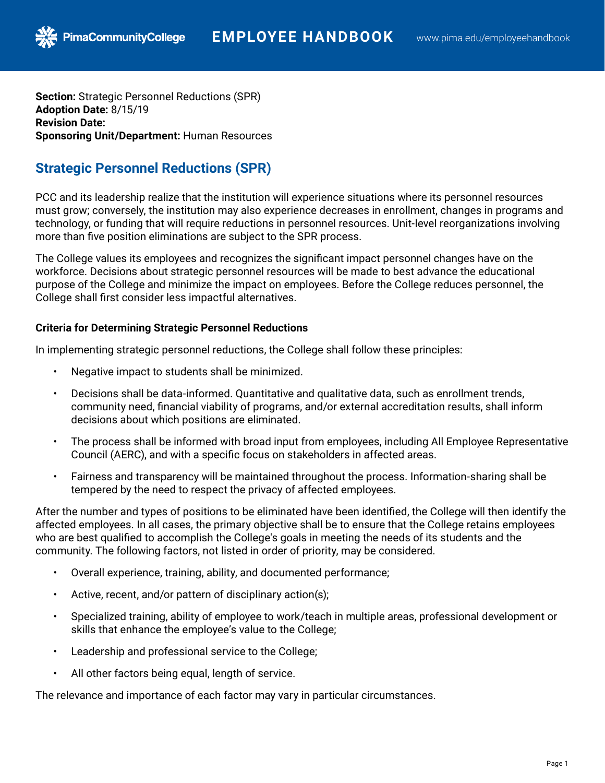**Section:** Strategic Personnel Reductions (SPR) **Adoption Date:** 8/15/19 **Revision Date: Sponsoring Unit/Department:** Human Resources

**PimaCommunityCollege** 

## **Strategic Personnel Reductions (SPR)**

PCC and its leadership realize that the institution will experience situations where its personnel resources must grow; conversely, the institution may also experience decreases in enrollment, changes in programs and technology, or funding that will require reductions in personnel resources. Unit-level reorganizations involving more than five position eliminations are subject to the SPR process.

The College values its employees and recognizes the significant impact personnel changes have on the workforce. Decisions about strategic personnel resources will be made to best advance the educational purpose of the College and minimize the impact on employees. Before the College reduces personnel, the College shall first consider less impactful alternatives.

## **Criteria for Determining Strategic Personnel Reductions**

In implementing strategic personnel reductions, the College shall follow these principles:

- Negative impact to students shall be minimized.
- Decisions shall be data-informed. Quantitative and qualitative data, such as enrollment trends, community need, financial viability of programs, and/or external accreditation results, shall inform decisions about which positions are eliminated.
- The process shall be informed with broad input from employees, including All Employee Representative Council (AERC), and with a specific focus on stakeholders in affected areas.
- Fairness and transparency will be maintained throughout the process. Information-sharing shall be tempered by the need to respect the privacy of affected employees.

After the number and types of positions to be eliminated have been identified, the College will then identify the affected employees. In all cases, the primary objective shall be to ensure that the College retains employees who are best qualified to accomplish the College's goals in meeting the needs of its students and the community. The following factors, not listed in order of priority, may be considered.

- Overall experience, training, ability, and documented performance;
- Active, recent, and/or pattern of disciplinary action(s);
- Specialized training, ability of employee to work/teach in multiple areas, professional development or skills that enhance the employee's value to the College;
- Leadership and professional service to the College;
- All other factors being equal, length of service.

The relevance and importance of each factor may vary in particular circumstances.